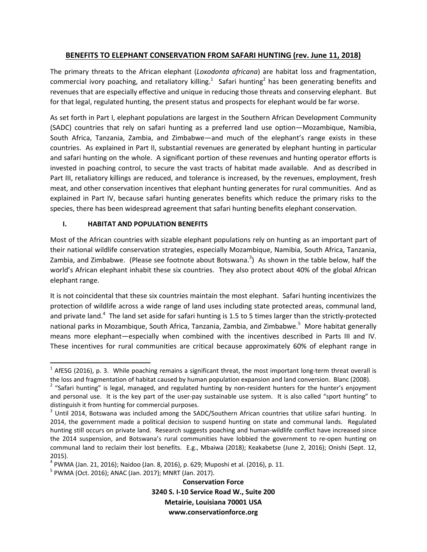# **BENEFITS TO ELEPHANT CONSERVATION FROM SAFARI HUNTING (rev. June 11, 2018)**

The primary threats to the African elephant (*Loxodonta africana*) are habitat loss and fragmentation, commercial ivory poaching, and retaliatory killing.<sup>1</sup> Safari hunting<sup>2</sup> has been generating benefits and revenues that are especially effective and unique in reducing those threats and conserving elephant. But for that legal, regulated hunting, the present status and prospects for elephant would be far worse.

As set forth in Part I, elephant populations are largest in the Southern African Development Community (SADC) countries that rely on safari hunting as a preferred land use option—Mozambique, Namibia, South Africa, Tanzania, Zambia, and Zimbabwe—and much of the elephant's range exists in these countries. As explained in Part II, substantial revenues are generated by elephant hunting in particular and safari hunting on the whole. A significant portion of these revenues and hunting operator efforts is invested in poaching control, to secure the vast tracts of habitat made available. And as described in Part III, retaliatory killings are reduced, and tolerance is increased, by the revenues, employment, fresh meat, and other conservation incentives that elephant hunting generates for rural communities. And as explained in Part IV, because safari hunting generates benefits which reduce the primary risks to the species, there has been widespread agreement that safari hunting benefits elephant conservation.

## **I. HABITAT AND POPULATION BENEFITS**

Most of the African countries with sizable elephant populations rely on hunting as an important part of their national wildlife conservation strategies, especially Mozambique, Namibia, South Africa, Tanzania, Zambia, and Zimbabwe. (Please see footnote about Botswana.<sup>3</sup>) As shown in the table below, half the world's African elephant inhabit these six countries. They also protect about 40% of the global African elephant range.

It is not coincidental that these six countries maintain the most elephant. Safari hunting incentivizes the protection of wildlife across a wide range of land uses including state protected areas, communal land, and private land.<sup>4</sup> The land set aside for safari hunting is 1.5 to 5 times larger than the strictly-protected national parks in Mozambique, South Africa, Tanzania, Zambia, and Zimbabwe.<sup>5</sup> More habitat generally means more elephant—especially when combined with the incentives described in Parts III and IV. These incentives for rural communities are critical because approximately 60% of elephant range in

**Conservation Force 3240 S. I‐10 Service Road W., Suite 200 Metairie, Louisiana 70001 USA www.conservationforce.org**

 $1$  AfESG (2016), p. 3. While poaching remains a significant threat, the most important long-term threat overall is

the loss and fragmentation of habitat caused by human population expansion and land conversion. Blanc (2008).<br><sup>2</sup> "Safari hunting" is legal, managed, and regulated hunting by non-resident hunters for the hunter's enjoymen and personal use. It is the key part of the user-pay sustainable use system. It is also called "sport hunting" to distinguish it from hunting for commercial purposes.<br><sup>3</sup> Until 2014, Botswana was included among the SADC/Southern African countries that utilize safari hunting. In

<sup>2014,</sup> the government made a political decision to suspend hunting on state and communal lands. Regulated hunting still occurs on private land. Research suggests poaching and human-wildlife conflict have increased since the 2014 suspension, and Botswana's rural communities have lobbied the government to re‐open hunting on communal land to reclaim their lost benefits. E.g., Mbaiwa (2018); Keakabetse (June 2, 2016); Onishi (Sept. 12, 2015).

<sup>&</sup>lt;sup>4</sup> PWMA (Jan. 21, 2016); Naidoo (Jan. 8, 2016), p. 629; Muposhi et al. (2016), p. 11.<br><sup>5</sup> PWMA (Oct. 2016); ANAC (Jan. 2017); MNRT (Jan. 2017).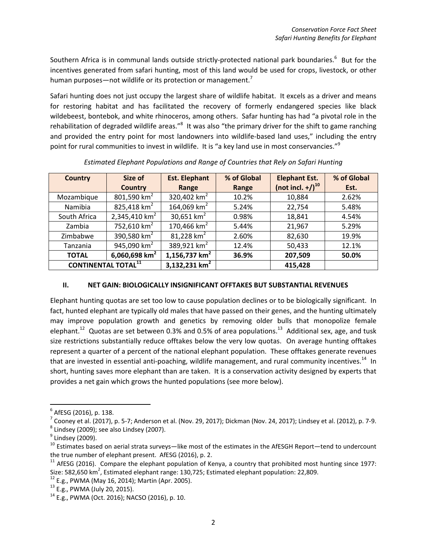Southern Africa is in communal lands outside strictly-protected national park boundaries.<sup>6</sup> But for the incentives generated from safari hunting, most of this land would be used for crops, livestock, or other human purposes—not wildlife or its protection or management.<sup>7</sup>

Safari hunting does not just occupy the largest share of wildlife habitat. It excels as a driver and means for restoring habitat and has facilitated the recovery of formerly endangered species like black wildebeest, bontebok, and white rhinoceros, among others. Safar hunting has had "a pivotal role in the rehabilitation of degraded wildlife areas."<sup>8</sup> It was also "the primary driver for the shift to game ranching and provided the entry point for most landowners into wildlife-based land uses," including the entry point for rural communities to invest in wildlife. It is "a key land use in most conservancies."<sup>9</sup>

| <b>Country</b>             | Size of                   | <b>Est. Elephant</b>      | % of Global | <b>Elephant Est.</b>         | % of Global |
|----------------------------|---------------------------|---------------------------|-------------|------------------------------|-------------|
|                            | <b>Country</b>            | Range                     | Range       | (not incl. +/) <sup>10</sup> | Est.        |
| Mozambique                 | 801,590 $km^2$            | 320,402 $km^2$            | 10.2%       | 10,884                       | 2.62%       |
| Namibia                    | 825,418 $km2$             | 164,069 km <sup>2</sup>   | 5.24%       | 22,754                       | 5.48%       |
| South Africa               | 2,345,410 km <sup>2</sup> | 30,651 $km2$              | 0.98%       | 18,841                       | 4.54%       |
| Zambia                     | 752,610 $km^2$            | 170,466 $km2$             | 5.44%       | 21,967                       | 5.29%       |
| Zimbabwe                   | 390,580 $km2$             | 81,228 $km^2$             | 2.60%       | 82,630                       | 19.9%       |
| Tanzania                   | 945,090 $km^2$            | 389,921 km <sup>2</sup>   | 12.4%       | 50,433                       | 12.1%       |
| <b>TOTAL</b>               | 6,060,698 $km2$           | 1,156,737 $km2$           | 36.9%       | 207,509                      | 50.0%       |
| <b>CONTINENTAL TOTAL11</b> |                           | 3,132,231 km <sup>2</sup> |             | 415,428                      |             |

*Estimated Elephant Populations and Range of Countries that Rely on Safari Hunting*

# **II. NET GAIN: BIOLOGICALLY INSIGNIFICANT OFFTAKES BUT SUBSTANTIAL REVENUES**

Elephant hunting quotas are set too low to cause population declines or to be biologically significant. In fact, hunted elephant are typically old males that have passed on their genes, and the hunting ultimately may improve population growth and genetics by removing older bulls that monopolize female elephant.<sup>12</sup> Quotas are set between 0.3% and 0.5% of area populations.<sup>13</sup> Additional sex, age, and tusk size restrictions substantially reduce offtakes below the very low quotas. On average hunting offtakes represent a quarter of a percent of the national elephant population. These offtakes generate revenues that are invested in essential anti-poaching, wildlife management, and rural community incentives.<sup>14</sup> In short, hunting saves more elephant than are taken. It is a conservation activity designed by experts that provides a net gain which grows the hunted populations (see more below).

<sup>&</sup>lt;sup>6</sup> AfESG (2016), p. 138.<br>
<sup>7</sup> Cooney et al. (2017), p. 5-7; Anderson et al. (Nov. 29, 2017); Dickman (Nov. 24, 2017); Lindsey et al. (2012), p. 7-9.<br>
<sup>8</sup> Lindsey (2009); see also Lindsey (2007).<br>
<sup>9</sup> Lindsey (2009).<br>
<sup>10</sup>

<sup>&</sup>lt;sup>11</sup> AfESG (2016). Compare the elephant population of Kenya, a country that prohibited most hunting since 1977: Size: 582,650 km<sup>2</sup>, Estimated elephant range: 130,725; Estimated elephant population: 22,809.<br><sup>12</sup> E.g., PWMA (May 16, 2014); Martin (Apr. 2005).<br><sup>13</sup> E.g., PWMA (July 20, 2015).<br><sup>14</sup> E.g., PWMA (Oct. 2016); NACSO (2016),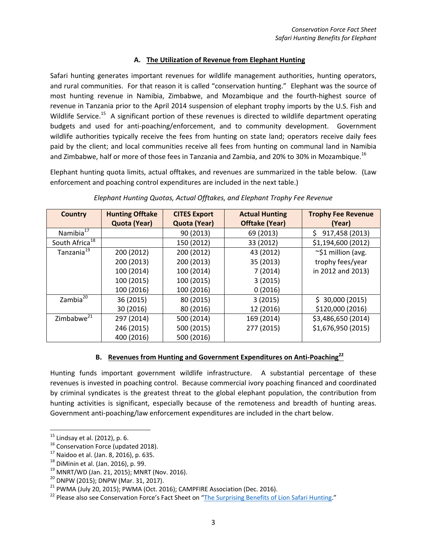#### **A. The Utilization of Revenue from Elephant Hunting**

Safari hunting generates important revenues for wildlife management authorities, hunting operators, and rural communities. For that reason it is called "conservation hunting." Elephant was the source of most hunting revenue in Namibia, Zimbabwe, and Mozambique and the fourth‐highest source of revenue in Tanzania prior to the April 2014 suspension of elephant trophy imports by the U.S. Fish and Wildlife Service.<sup>15</sup> A significant portion of these revenues is directed to wildlife department operating budgets and used for anti-poaching/enforcement, and to community development. Government wildlife authorities typically receive the fees from hunting on state land; operators receive daily fees paid by the client; and local communities receive all fees from hunting on communal land in Namibia and Zimbabwe, half or more of those fees in Tanzania and Zambia, and 20% to 30% in Mozambique.<sup>16</sup>

Elephant hunting quota limits, actual offtakes, and revenues are summarized in the table below. (Law enforcement and poaching control expenditures are included in the next table.)

| <b>Country</b>             | <b>Hunting Offtake</b> | <b>CITES Export</b> | <b>Actual Hunting</b> | <b>Trophy Fee Revenue</b> |
|----------------------------|------------------------|---------------------|-----------------------|---------------------------|
|                            | Quota (Year)           | Quota (Year)        | <b>Offtake (Year)</b> | (Year)                    |
| Namibia <sup>17</sup>      |                        | 90 (2013)           | 69 (2013)             | 917,458 (2013)<br>\$.     |
| South Africa <sup>18</sup> |                        | 150 (2012)          | 33 (2012)             | \$1,194,600 (2012)        |
| Tanzania <sup>19</sup>     | 200 (2012)             | 200 (2012)          | 43 (2012)             | ~\$1 million (avg.        |
|                            | 200 (2013)             | 200 (2013)          | 35 (2013)             | trophy fees/year          |
|                            | 100 (2014)             | 100 (2014)          | 7(2014)               | in 2012 and 2013)         |
|                            | 100 (2015)             | 100 (2015)          | 3(2015)               |                           |
|                            | 100 (2016)             | 100 (2016)          | 0(2016)               |                           |
| Zambia <sup>20</sup>       | 36 (2015)              | 80 (2015)           | 3(2015)               | \$30,000(2015)            |
|                            | 30 (2016)              | 80 (2016)           | 12 (2016)             | \$120,000 (2016)          |
| Zimbabwe <sup>21</sup>     | 297 (2014)             | 500 (2014)          | 169 (2014)            | \$3,486,650 (2014)        |
|                            | 246 (2015)             | 500 (2015)          | 277 (2015)            | \$1,676,950 (2015)        |
|                            | 400 (2016)             | 500 (2016)          |                       |                           |

*Elephant Hunting Quotas, Actual Offtakes, and Elephant Trophy Fee Revenue*

# **B. Revenues from Hunting and Government Expenditures on Anti‐Poaching<sup>22</sup>**

Hunting funds important government wildlife infrastructure. A substantial percentage of these revenues is invested in poaching control. Because commercial ivory poaching financed and coordinated by criminal syndicates is the greatest threat to the global elephant population, the contribution from hunting activities is significant, especially because of the remoteness and breadth of hunting areas. Government anti‐poaching/law enforcement expenditures are included in the chart below.

<sup>&</sup>lt;sup>15</sup> Lindsay et al. (2012), p. 6.<br>
<sup>16</sup> Conservation Force (updated 2018).<br>
<sup>17</sup> Naidoo et al. (Jan. 8, 2016), p. 635.<br>
<sup>18</sup> DiMinin et al. (Jan. 2015); D. 99.<br>
<sup>19</sup> MNRT/WD (Jan. 21, 2015); MNRT (Nov. 2016).<br>
<sup>20</sup> DNPW (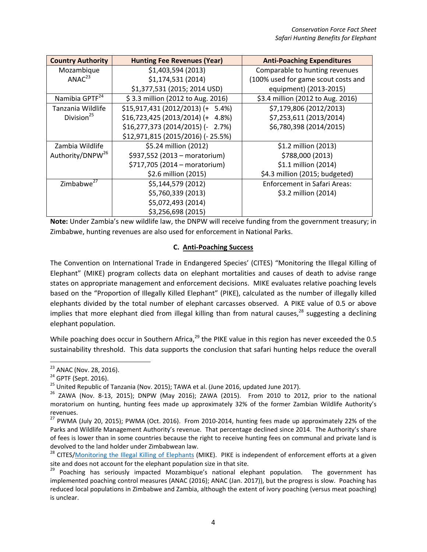| <b>Country Authority</b>     | <b>Hunting Fee Revenues (Year)</b> | <b>Anti-Poaching Expenditures</b>   |  |
|------------------------------|------------------------------------|-------------------------------------|--|
| Mozambique                   | \$1,403,594 (2013)                 | Comparable to hunting revenues      |  |
| ANAC <sup>23</sup>           | \$1,174,531 (2014)                 | (100% used for game scout costs and |  |
|                              | \$1,377,531 (2015; 2014 USD)       | equipment) (2013-2015)              |  |
| Namibia GPTF <sup>24</sup>   | \$3.3 million (2012 to Aug. 2016)  | \$3.4 million (2012 to Aug. 2016)   |  |
| Tanzania Wildlife            | \$15,917,431 (2012/2013) (+ 5.4%)  | \$7,179,806 (2012/2013)             |  |
| Division <sup>25</sup>       | $$16,723,425 (2013/2014) (+ 4.8%)$ | \$7,253,611 (2013/2014)             |  |
|                              | $$16,277,373$ (2014/2015) (- 2.7%) | \$6,780,398 (2014/2015)             |  |
|                              | \$12,971,815 (2015/2016) (- 25.5%) |                                     |  |
| Zambia Wildlife              | \$5.24 million (2012)              | \$1.2 million (2013)                |  |
| Authority/DNPW <sup>26</sup> | \$937,552 (2013 - moratorium)      | \$788,000 (2013)                    |  |
|                              | \$717,705 (2014 - moratorium)      | \$1.1 million (2014)                |  |
|                              | \$2.6 million (2015)               | \$4.3 million (2015; budgeted)      |  |
| Zimbabwe <sup>27</sup>       | \$5,144,579 (2012)                 | Enforcement in Safari Areas:        |  |
|                              | \$5,760,339 (2013)                 | \$3.2 million (2014)                |  |
|                              | \$5,072,493 (2014)                 |                                     |  |
|                              | \$3,256,698 (2015)                 |                                     |  |

**Note:** Under Zambia's new wildlife law, the DNPW will receive funding from the government treasury; in Zimbabwe, hunting revenues are also used for enforcement in National Parks.

## **C. Anti‐Poaching Success**

The Convention on International Trade in Endangered Species' (CITES) "Monitoring the Illegal Killing of Elephant" (MIKE) program collects data on elephant mortalities and causes of death to advise range states on appropriate management and enforcement decisions. MIKE evaluates relative poaching levels based on the "Proportion of Illegally Killed Elephant" (PIKE), calculated as the number of illegally killed elephants divided by the total number of elephant carcasses observed. A PIKE value of 0.5 or above implies that more elephant died from illegal killing than from natural causes, $^{28}$  suggesting a declining elephant population.

While poaching does occur in Southern Africa,<sup>29</sup> the PIKE value in this region has never exceeded the 0.5 sustainability threshold. This data supports the conclusion that safari hunting helps reduce the overall

<sup>&</sup>lt;sup>23</sup> ANAC (Nov. 28, 2016).

<sup>&</sup>lt;sup>24</sup> GPTF (Sept. 2016).<br><sup>25</sup> United Republic of Tanzania (Nov. 2015); TAWA et al. (June 2016, updated June 2017).<br><sup>25</sup> ZAWA (Nov. 8-13, 2015); DNPW (May 2016); ZAWA (2015). From 2010 to 2012, prior to the national moratorium on hunting, hunting fees made up approximately 32% of the former Zambian Wildlife Authority's revenues.

 $27$  PWMA (July 20, 2015); PWMA (Oct. 2016). From 2010-2014, hunting fees made up approximately 22% of the Parks and Wildlife Management Authority's revenue. That percentage declined since 2014. The Authority's share of fees is lower than in some countries because the right to receive hunting fees on communal and private land is

devolved to the land holder under Zimbabwean law.<br><sup>28</sup> CITES/<u>Monitoring the Illegal Killing of Elephants</u> (MIKE). PIKE is independent of enforcement efforts at a given<br>site and does not account for the elephant population

<sup>&</sup>lt;sup>29</sup> Poaching has seriously impacted Mozambique's national elephant population. The government has implemented poaching control measures (ANAC (2016); ANAC (Jan. 2017)), but the progress is slow. Poaching has reduced local populations in Zimbabwe and Zambia, although the extent of ivory poaching (versus meat poaching) is unclear.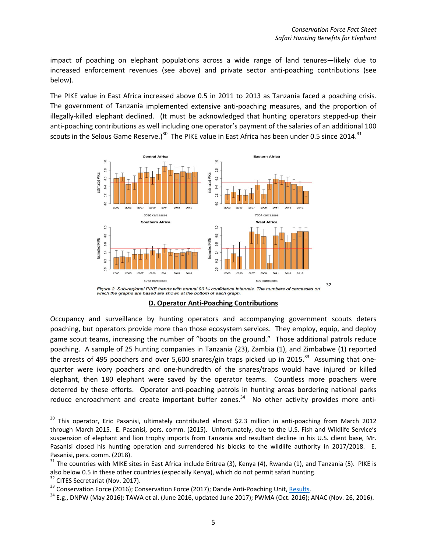impact of poaching on elephant populations across a wide range of land tenures—likely due to increased enforcement revenues (see above) and private sector anti-poaching contributions (see below).

The PIKE value in East Africa increased above 0.5 in 2011 to 2013 as Tanzania faced a poaching crisis. The government of Tanzania implemented extensive anti‐poaching measures, and the proportion of illegally‐killed elephant declined. (It must be acknowledged that hunting operators stepped‐up their anti-poaching contributions as well including one operator's payment of the salaries of an additional 100 scouts in the Selous Game Reserve.)<sup>30</sup> The PIKE value in East Africa has been under 0.5 since 2014.<sup>31</sup>



**D. Operator Anti‐Poaching Contributions**

Occupancy and surveillance by hunting operators and accompanying government scouts deters poaching, but operators provide more than those ecosystem services. They employ, equip, and deploy game scout teams, increasing the number of "boots on the ground." Those additional patrols reduce poaching. A sample of 25 hunting companies in Tanzania (23), Zambia (1), and Zimbabwe (1) reported the arrests of 495 poachers and over 5,600 snares/gin traps picked up in 2015.<sup>33</sup> Assuming that onequarter were ivory poachers and one‐hundredth of the snares/traps would have injured or killed elephant, then 180 elephant were saved by the operator teams. Countless more poachers were deterred by these efforts. Operator anti‐poaching patrols in hunting areas bordering national parks reduce encroachment and create important buffer zones. $34$  No other activity provides more anti-

<sup>&</sup>lt;sup>30</sup> This operator, Eric Pasanisi, ultimately contributed almost \$2.3 million in anti-poaching from March 2012 through March 2015. E. Pasanisi, pers. comm. (2015). Unfortunately, due to the U.S. Fish and Wildlife Service's suspension of elephant and lion trophy imports from Tanzania and resultant decline in his U.S. client base, Mr. Pasanisi closed his hunting operation and surrendered his blocks to the wildlife authority in 2017/2018. E.

Pasanisi, pers. comm. (2018).<br><sup>31</sup> The countries with MIKE sites in East Africa include Eritrea (3), Kenya (4), Rwanda (1), and Tanzania (5). PIKE is also below 0.5 in these other countries (especially Kenya), which do not permit safari hunting.<br><sup>32</sup> CITES Secretariat (Nov. 2017).<br><sup>33</sup> Conservation Force (2016); Conservation Force (2017); Dande Anti-Poaching Unit, <u>Resu</u>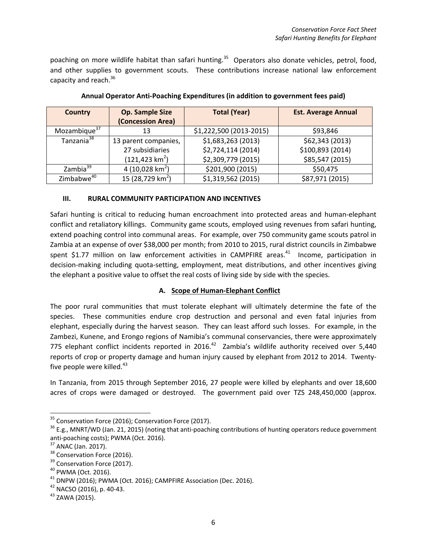poaching on more wildlife habitat than safari hunting.<sup>35</sup> Operators also donate vehicles, petrol, food, and other supplies to government scouts. These contributions increase national law enforcement capacity and reach.<sup>36</sup>

| <b>Country</b>           | <b>Op. Sample Size</b>       | <b>Total (Year)</b>     | <b>Est. Average Annual</b> |
|--------------------------|------------------------------|-------------------------|----------------------------|
|                          | (Concession Area)            |                         |                            |
| Mozambique <sup>37</sup> | 13                           | \$1,222,500 (2013-2015) | \$93,846                   |
| Tanzania <sup>38</sup>   | 13 parent companies,         | \$1,683,263 (2013)      | \$62,343 (2013)            |
|                          | 27 subsidiaries              | \$2,724,114 (2014)      | \$100,893 (2014)           |
|                          | $(121, 423 \text{ km}^2)$    | \$2,309,779 (2015)      | \$85,547 (2015)            |
| Zambia <sup>39</sup>     | 4 (10,028 km <sup>2</sup> )  | \$201,900 (2015)        | \$50,475                   |
| Zimbabwe <sup>40</sup>   | 15 (28,729 km <sup>2</sup> ) | \$1,319,562 (2015)      | \$87,971 (2015)            |

**Annual Operator Anti‐Poaching Expenditures (in addition to government fees paid)**

## **III. RURAL COMMUNITY PARTICIPATION AND INCENTIVES**

Safari hunting is critical to reducing human encroachment into protected areas and human‐elephant conflict and retaliatory killings. Community game scouts, employed using revenues from safari hunting, extend poaching control into communal areas. For example, over 750 community game scouts patrol in Zambia at an expense of over \$38,000 per month; from 2010 to 2015, rural district councils in Zimbabwe spent \$1.77 million on law enforcement activities in CAMPFIRE areas.<sup>41</sup> Income, participation in decision-making including quota-setting, employment, meat distributions, and other incentives giving the elephant a positive value to offset the real costs of living side by side with the species.

# **A. Scope of Human‐Elephant Conflict**

The poor rural communities that must tolerate elephant will ultimately determine the fate of the species. These communities endure crop destruction and personal and even fatal injuries from elephant, especially during the harvest season. They can least afford such losses. For example, in the Zambezi, Kunene, and Erongo regions of Namibia's communal conservancies, there were approximately 775 elephant conflict incidents reported in 2016. $42$  Zambia's wildlife authority received over 5,440 reports of crop or property damage and human injury caused by elephant from 2012 to 2014. Twenty‐ five people were killed. $43$ 

In Tanzania, from 2015 through September 2016, 27 people were killed by elephants and over 18,600 acres of crops were damaged or destroyed. The government paid over TZS 248,450,000 (approx.

<sup>&</sup>lt;sup>35</sup> Conservation Force (2016); Conservation Force (2017).<br><sup>36</sup> E.g., MNRT/WD (Jan. 21, 2015) (noting that anti-poaching contributions of hunting operators reduce government<br>anti-poaching costs); PWMA (Oct. 2016).

<sup>&</sup>lt;sup>37</sup> ANAC (Jan. 2017).<br><sup>38</sup> Conservation Force (2016).<br><sup>39</sup> Conservation Force (2017).<br><sup>40</sup> PWMA (Oct. 2016).<br><sup>41</sup> DNPW (2016); PWMA (Oct. 2016); CAMPFIRE Association (Dec. 2016).<br><sup>42</sup> NACSO (2016), p. 40-43.<br><sup>42</sup> ZAWA (2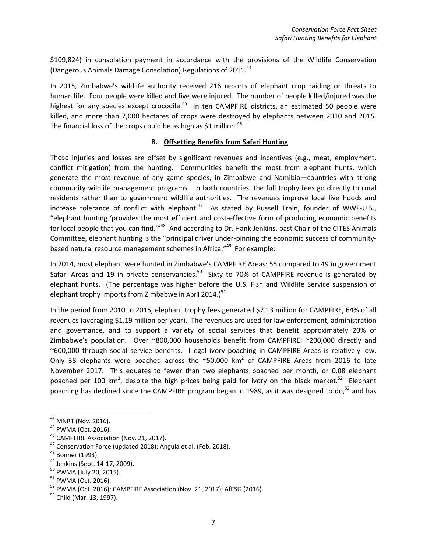\$109,824) in consolation payment in accordance with the provisions of the Wildlife Conservation (Dangerous Animals Damage Consolation) Regulations of 2011.<sup>44</sup>

In 2015, Zimbabwe's wildlife authority received 216 reports of elephant crop raiding or threats to human life. Four people were killed and five were injured. The number of people killed/injured was the highest for any species except crocodile.<sup>45</sup> In ten CAMPFIRE districts, an estimated 50 people were killed, and more than 7,000 hectares of crops were destroyed by elephants between 2010 and 2015. The financial loss of the crops could be as high as \$1 million.<sup>46</sup>

## **B. Offsetting Benefits from Safari Hunting**

Those injuries and losses are offset by significant revenues and incentives (e.g., meat, employment, conflict mitigation) from the hunting. Communities benefit the most from elephant hunts, which generate the most revenue of any game species, in Zimbabwe and Namibia—countries with strong community wildlife management programs. In both countries, the full trophy fees go directly to rural residents rather than to government wildlife authorities. The revenues improve local livelihoods and increase tolerance of conflict with elephant. $47$  As stated by Russell Train, founder of WWF-U.S., "elephant hunting 'provides the most efficient and cost‐effective form of producing economic benefits for local people that you can find."<sup>48</sup> And according to Dr. Hank Jenkins, past Chair of the CITES Animals Committee, elephant hunting is the "principal driver under‐pinning the economic success of community‐ based natural resource management schemes in Africa."<sup>49</sup> For example:

In 2014, most elephant were hunted in Zimbabwe's CAMPFIRE Areas: 55 compared to 49 in government Safari Areas and 19 in private conservancies.<sup>50</sup> Sixty to 70% of CAMPFIRE revenue is generated by elephant hunts. (The percentage was higher before the U.S. Fish and Wildlife Service suspension of elephant trophy imports from Zimbabwe in April 2014.)<sup>51</sup>

In the period from 2010 to 2015, elephant trophy fees generated \$7.13 million for CAMPFIRE, 64% of all revenues (averaging \$1.19 million per year). The revenues are used for law enforcement, administration and governance, and to support a variety of social services that benefit approximately 20% of Zimbabwe's population. Over ~800,000 households benefit from CAMPFIRE: ~200,000 directly and ~600,000 through social service benefits. Illegal ivory poaching in CAMPFIRE Areas is relatively low. Only 38 elephants were poached across the  $\sim$ 50,000 km<sup>2</sup> of CAMPFIRE Areas from 2016 to late November 2017. This equates to fewer than two elephants poached per month, or 0.08 elephant poached per 100 km<sup>2</sup>, despite the high prices being paid for ivory on the black market.<sup>52</sup> Elephant poaching has declined since the CAMPFIRE program began in 1989, as it was designed to do,<sup>53</sup> and has

<sup>&</sup>lt;sup>44</sup> MNRT (Nov. 2016).<br><sup>45</sup> PWMA (Oct. 2016).<br><sup>45</sup> CAMPFIRE Association (Nov. 21, 2017).<br><sup>47</sup> Conservation Force (updated 2018); Angula et al. (Feb. 2018).<br><sup>48</sup> Bonner (1993).<br><sup>49</sup> Jenkins (Sept. 14-17, 2009).<br><sup>50</sup> PWMA (J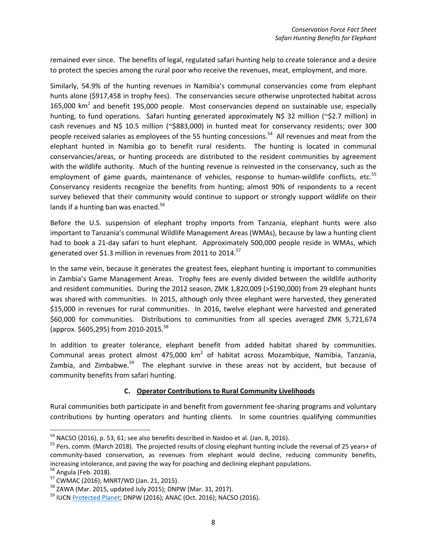remained ever since. The benefits of legal, regulated safari hunting help to create tolerance and a desire to protect the species among the rural poor who receive the revenues, meat, employment, and more.

Similarly, 54.9% of the hunting revenues in Namibia's communal conservancies come from elephant hunts alone (\$917,458 in trophy fees). The conservancies secure otherwise unprotected habitat across 165,000  $km<sup>2</sup>$  and benefit 195,000 people. Most conservancies depend on sustainable use, especially hunting, to fund operations. Safari hunting generated approximately N\$ 32 million (~\$2.7 million) in cash revenues and N\$ 10.5 million (~\$883,000) in hunted meat for conservancy residents; over 300 people received salaries as employees of the 55 hunting concessions.<sup>54</sup> All revenues and meat from the elephant hunted in Namibia go to benefit rural residents. The hunting is located in communal conservancies/areas, or hunting proceeds are distributed to the resident communities by agreement with the wildlife authority. Much of the hunting revenue is reinvested in the conservancy, such as the employment of game guards, maintenance of vehicles, response to human-wildlife conflicts, etc.<sup>55</sup> Conservancy residents recognize the benefits from hunting; almost 90% of respondents to a recent survey believed that their community would continue to support or strongly support wildlife on their lands if a hunting ban was enacted.<sup>56</sup>

Before the U.S. suspension of elephant trophy imports from Tanzania, elephant hunts were also important to Tanzania's communal Wildlife Management Areas (WMAs), because by law a hunting client had to book a 21-day safari to hunt elephant. Approximately 500,000 people reside in WMAs, which generated over \$1.3 million in revenues from 2011 to 2014.<sup>57</sup>

In the same vein, because it generates the greatest fees, elephant hunting is important to communities in Zambia's Game Management Areas. Trophy fees are evenly divided between the wildlife authority and resident communities. During the 2012 season, ZMK 1,820,009 (>\$190,000) from 29 elephant hunts was shared with communities. In 2015, although only three elephant were harvested, they generated \$15,000 in revenues for rural communities. In 2016, twelve elephant were harvested and generated \$60,000 for communities. Distributions to communities from all species averaged ZMK 5,721,674 (approx. \$605,295) from 2010‐2015.58

In addition to greater tolerance, elephant benefit from added habitat shared by communities. Communal areas protect almost 475,000  $km^2$  of habitat across Mozambique, Namibia, Tanzania, Zambia, and Zimbabwe. $59$  The elephant survive in these areas not by accident, but because of community benefits from safari hunting.

#### **C. Operator Contributions to Rural Community Livelihoods**

Rural communities both participate in and benefit from government fee‐sharing programs and voluntary contributions by hunting operators and hunting clients. In some countries qualifying communities

 $54$  NACSO (2016), p. 53, 61; see also benefits described in Naidoo et al. (Jan. 8, 2016).

<sup>&</sup>lt;sup>55</sup> Pers. comm. (March 2018). The projected results of closing elephant hunting include the reversal of 25 years+ of community-based conservation, as revenues from elephant would decline, reducing community benefits, increasing intolerance, and paving the way for poaching and declining elephant populations.<br><sup>56</sup> Angula (Feb. 2018).<br><sup>57</sup> CWMAC (2016); MNRT/WD (Jan. 21, 2015).<br><sup>58</sup> ZAWA (Mar. 2015, updated July 2015); DNPW (Mar. 31, 2017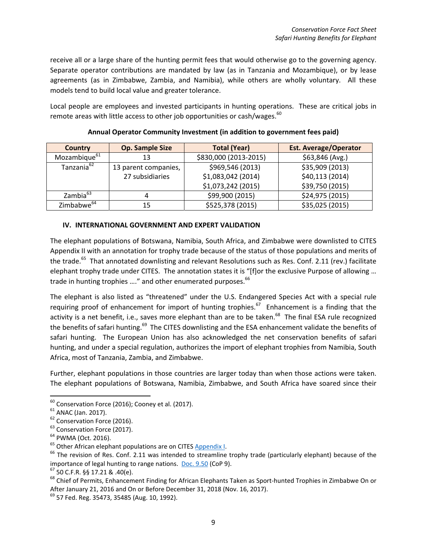receive all or a large share of the hunting permit fees that would otherwise go to the governing agency. Separate operator contributions are mandated by law (as in Tanzania and Mozambique), or by lease agreements (as in Zimbabwe, Zambia, and Namibia), while others are wholly voluntary. All these models tend to build local value and greater tolerance.

Local people are employees and invested participants in hunting operations. These are critical jobs in remote areas with little access to other job opportunities or cash/wages.<sup>60</sup>

| Country                  | <b>Op. Sample Size</b> | <b>Total (Year)</b>   | <b>Est. Average/Operator</b> |
|--------------------------|------------------------|-----------------------|------------------------------|
| Mozambique <sup>61</sup> | 13                     | \$830,000 (2013-2015) | \$63,846 (Avg.)              |
| Tanzania <sup>62</sup>   | 13 parent companies,   | \$969,546 (2013)      | \$35,909 (2013)              |
|                          | 27 subsidiaries        | \$1,083,042 (2014)    | \$40,113 (2014)              |
|                          |                        | \$1,073,242 (2015)    | \$39,750 (2015)              |
| Zambia <sup>63</sup>     | 4                      | \$99,900 (2015)       | \$24,975 (2015)              |
| Zimbabwe <sup>64</sup>   |                        | \$525,378 (2015)      | \$35,025 (2015)              |

#### **Annual Operator Community Investment (in addition to government fees paid)**

#### **IV. INTERNATIONAL GOVERNMENT AND EXPERT VALIDATION**

The elephant populations of Botswana, Namibia, South Africa, and Zimbabwe were downlisted to CITES Appendix II with an annotation for trophy trade because of the status of those populations and merits of the trade.<sup>65</sup> That annotated downlisting and relevant Resolutions such as Res. Conf. 2.11 (rev.) facilitate elephant trophy trade under CITES. The annotation states it is "[f]or the exclusive Purpose of allowing … trade in hunting trophies ...." and other enumerated purposes.<sup>66</sup>

The elephant is also listed as "threatened" under the U.S. Endangered Species Act with a special rule requiring proof of enhancement for import of hunting trophies.<sup>67</sup> Enhancement is a finding that the activity is a net benefit, i.e., saves more elephant than are to be taken.<sup>68</sup> The final ESA rule recognized the benefits of safari hunting.<sup>69</sup> The CITES downlisting and the ESA enhancement validate the benefits of safari hunting. The European Union has also acknowledged the net conservation benefits of safari hunting, and under a special regulation, authorizes the import of elephant trophies from Namibia, South Africa, most of Tanzania, Zambia, and Zimbabwe.

Further, elephant populations in those countries are larger today than when those actions were taken. The elephant populations of Botswana, Namibia, Zimbabwe, and South Africa have soared since their

<sup>&</sup>lt;sup>60</sup> Conservation Force (2016); Cooney et al. (2017).<br>
<sup>61</sup> ANAC (Jan. 2017).<br>
<sup>62</sup> Conservation Force (2016).<br>
<sup>63</sup> PWMA (Oct. 2016).<br>
<sup>64</sup> PWMA (Oct. 2016).<br>
<sup>65</sup> Other African elephant populations are on CITES <u>Appendi</u> importance of legal hunting to range nations. <u>Doc. 9.50</u> (CoP 9).<br><sup>67</sup> 50 C.F.R. §§ 17.21 & .40(e).<br><sup>68</sup> Chief of Permits, Enhancement Finding for African Elephants Taken as Sport-hunted Trophies in Zimbabwe On or

After January 21, 2016 and On or Before December 31, 2018 (Nov. 16, 2017).<br><sup>69</sup> 57 Fed. Reg. 35473, 35485 (Aug. 10, 1992).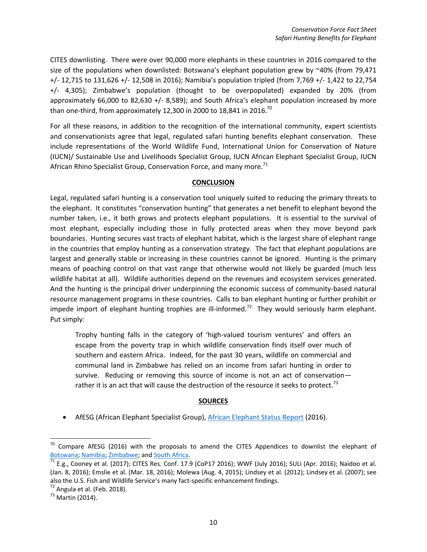CITES downlisting. There were over 90,000 more elephants in these countries in 2016 compared to the size of the populations when downlisted: Botswana's elephant population grew by  $\sim$ 40% (from 79,471 +/‐ 12,715 to 131,626 +/‐ 12,508 in 2016); Namibia's population tripled (from 7,769 +/‐ 1,422 to 22,754 +/‐ 4,305); Zimbabwe's population (thought to be overpopulated) expanded by 20% (from approximately 66,000 to 82,630 +/‐ 8,589); and South Africa's elephant population increased by more than one-third, from approximately 12,300 in 2000 to 18,841 in 2016.<sup>70</sup>

For all these reasons, in addition to the recognition of the international community, expert scientists and conservationists agree that legal, regulated safari hunting benefits elephant conservation. These include representations of the World Wildlife Fund, International Union for Conservation of Nature (IUCN)/ Sustainable Use and Livelihoods Specialist Group, IUCN African Elephant Specialist Group, IUCN African Rhino Specialist Group, Conservation Force, and many more. $71$ 

#### **CONCLUSION**

Legal, regulated safari hunting is a conservation tool uniquely suited to reducing the primary threats to the elephant. It constitutes "conservation hunting" that generates a net benefit to elephant beyond the number taken, i.e., it both grows and protects elephant populations. It is essential to the survival of most elephant, especially including those in fully protected areas when they move beyond park boundaries. Hunting secures vast tracts of elephant habitat, which is the largest share of elephant range in the countries that employ hunting as a conservation strategy. The fact that elephant populations are largest and generally stable or increasing in these countries cannot be ignored. Hunting is the primary means of poaching control on that vast range that otherwise would not likely be guarded (much less wildlife habitat at all). Wildlife authorities depend on the revenues and ecosystem services generated. And the hunting is the principal driver underpinning the economic success of community‐based natural resource management programs in these countries. Calls to ban elephant hunting or further prohibit or impede import of elephant hunting trophies are ill-informed.<sup>72</sup> They would seriously harm elephant. Put simply:

Trophy hunting falls in the category of 'high‐valued tourism ventures' and offers an escape from the poverty trap in which wildlife conservation finds itself over much of southern and eastern Africa. Indeed, for the past 30 years, wildlife on commercial and communal land in Zimbabwe has relied on an income from safari hunting in order to survive. Reducing or removing this source of income is not an act of conservationrather it is an act that will cause the destruction of the resource it seeks to protect.<sup>73</sup>

# **SOURCES**

• AfESG (African Elephant Specialist Group), African Elephant Status Report (2016).

 $70$  Compare AfESG (2016) with the proposals to amend the CITES Appendices to downlist the elephant of Botswana; Namibia; Zimbabwe; and South Africa.<br><sup>71</sup> E.g., Cooney et al. (2017); CITES Res. Conf. 17.9 (CoP17 2016); WWF (July 2016); SULi (Apr. 2016); Naidoo et al.

<sup>(</sup>Jan. 8, 2016); Emslie et al. (Mar. 18, 2016); Molewa (Aug. 4, 2015); Lindsey et al. (2012); Lindsey et al. (2007); see also the U.S. Fish and Wildlife Service's many fact-specific enhancement findings.<br><sup>72</sup> Angula et al. (Feb. 2018).<br><sup>73</sup> Martin (2014).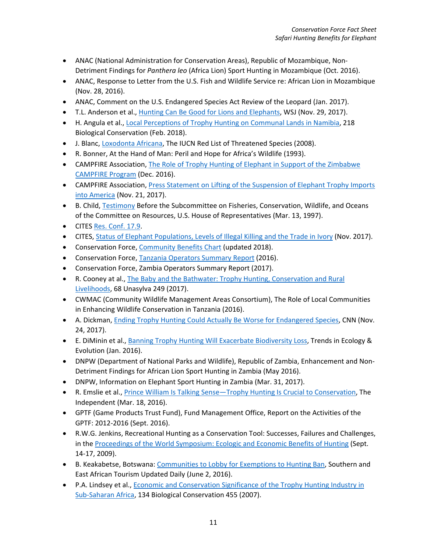- ANAC (National Administration for Conservation Areas), Republic of Mozambique, Non-Detriment Findings for *Panthera leo* (Africa Lion) Sport Hunting in Mozambique (Oct. 2016).
- ANAC, Response to Letter from the U.S. Fish and Wildlife Service re: African Lion in Mozambique (Nov. 28, 2016).
- ANAC, Comment on the U.S. Endangered Species Act Review of the Leopard (Jan. 2017).
- T.L. Anderson et al., Hunting Can Be Good for Lions and Elephants, WSJ (Nov. 29, 2017).
- H. Angula et al., Local Perceptions of Trophy Hunting on Communal Lands in Namibia, 218 Biological Conservation (Feb. 2018).
- J. Blanc, Loxodonta Africana, The IUCN Red List of Threatened Species (2008).
- R. Bonner, At the Hand of Man: Peril and Hope for Africa's Wildlife (1993).
- CAMPFIRE Association, The Role of Trophy Hunting of Elephant in Support of the Zimbabwe CAMPFIRE Program (Dec. 2016).
- CAMPFIRE Association, Press Statement on Lifting of the Suspension of Elephant Trophy Imports into America (Nov. 21, 2017).
- B. Child, Testimony Before the Subcommittee on Fisheries, Conservation, Wildlife, and Oceans of the Committee on Resources, U.S. House of Representatives (Mar. 13, 1997).
- CITES Res. Conf. 17.9.
- CITES, Status of Elephant Populations, Levels of Illegal Killing and the Trade in Ivory (Nov. 2017).
- Conservation Force, Community Benefits Chart (updated 2018).
- Conservation Force, Tanzania Operators Summary Report (2016).
- Conservation Force, Zambia Operators Summary Report (2017).
- R. Cooney at al., The Baby and the Bathwater: Trophy Hunting, Conservation and Rural Livelihoods, 68 Unasylva 249 (2017).
- CWMAC (Community Wildlife Management Areas Consortium), The Role of Local Communities in Enhancing Wildlife Conservation in Tanzania (2016).
- A. Dickman, Ending Trophy Hunting Could Actually Be Worse for Endangered Species, CNN (Nov. 24, 2017).
- E. DiMinin et al., Banning Trophy Hunting Will Exacerbate Biodiversity Loss, Trends in Ecology & Evolution (Jan. 2016).
- DNPW (Department of National Parks and Wildlife), Republic of Zambia, Enhancement and Non-Detriment Findings for African Lion Sport Hunting in Zambia (May 2016).
- DNPW, Information on Elephant Sport Hunting in Zambia (Mar. 31, 2017).
- R. Emslie et al., Prince William Is Talking Sense—Trophy Hunting Is Crucial to Conservation, The Independent (Mar. 18, 2016).
- GPTF (Game Products Trust Fund), Fund Management Office, Report on the Activities of the GPTF: 2012‐2016 (Sept. 2016).
- R.W.G. Jenkins, Recreational Hunting as a Conservation Tool: Successes, Failures and Challenges, in the Proceedings of the World Symposium: Ecologic and Economic Benefits of Hunting (Sept. 14‐17, 2009).
- B. Keakabetse, Botswana: Communities to Lobby for Exemptions to Hunting Ban, Southern and East African Tourism Updated Daily (June 2, 2016).
- P.A. Lindsey et al., Economic and Conservation Significance of the Trophy Hunting Industry in Sub‐Saharan Africa, 134 Biological Conservation 455 (2007).